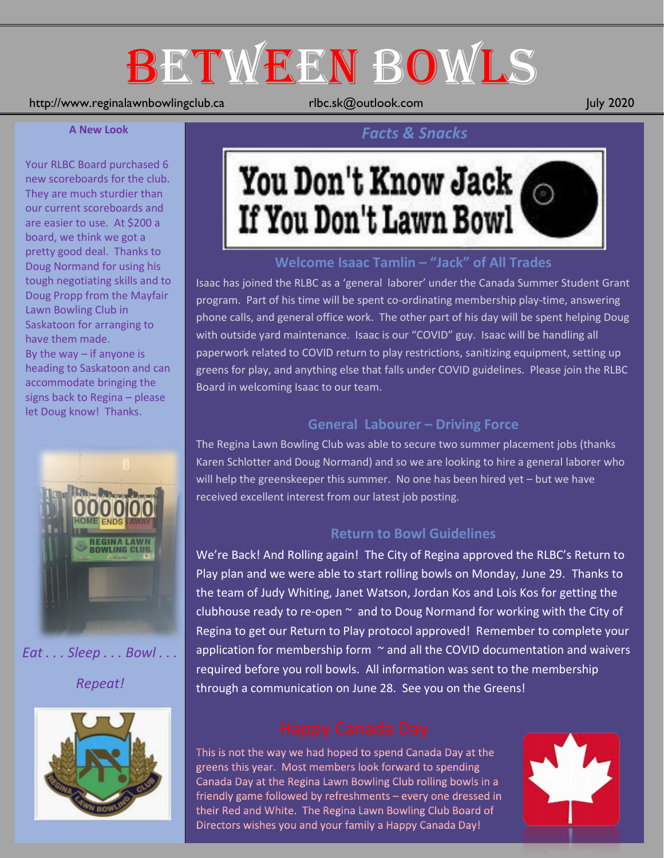# BETWEEN BOWLS

## http://www.reginalawnbowlingclub.ca rlbc.sk@outlook.com July 2020

### **A New Look**

Your RLBC Board purchased 6 new scoreboards for the club. They are much sturdier than our current scoreboards and are easier to use. At \$200 a board, we think we got a pretty good deal. Thanks to Doug Normand for using his tough negotiating skills and to Doug Propp from the Mayfair Lawn Bowling Club in Saskatoon for arranging to have them made. By the way  $-$  if anyone is heading to Saskatoon and can accommodate bringing the signs back to Regina – please let Doug know! Thanks.



*Eat . . . Sleep . . . Bowl . . .* 

*Repeat!*



# You Don't Know Jack If You Don't Lawn Bowl

*Facts & Snacks*

## **Welcome Isaac Tamlin – "Jack" of All Trades**

Isaac has joined the RLBC as a 'general laborer' under the Canada Summer Student Grant program. Part of his time will be spent co-ordinating membership play-time, answering phone calls, and general office work. The other part of his day will be spent helping Doug with outside yard maintenance. Isaac is our "COVID" guy. Isaac will be handling all paperwork related to COVID return to play restrictions, sanitizing equipment, setting up greens for play, and anything else that falls under COVID guidelines. Please join the RLBC Board in welcoming Isaac to our team.

## **General Labourer – Driving Force**

The Regina Lawn Bowling Club was able to secure two summer placement jobs (thanks Karen Schlotter and Doug Normand) and so we are looking to hire a general laborer who will help the greenskeeper this summer. No one has been hired yet – but we have received excellent interest from our latest job posting.

## **Return to Bowl Guidelines**

We're Back! And Rolling again! The City of Regina approved the RLBC's Return to Play plan and we were able to start rolling bowls on Monday, June 29. Thanks to the team of Judy Whiting, Janet Watson, Jordan Kos and Lois Kos for getting the clubhouse ready to re-open  $\sim$  and to Doug Normand for working with the City of Regina to get our Return to Play protocol approved! Remember to complete your application for membership form  $\sim$  and all the COVID documentation and waivers required before you roll bowls. All information was sent to the membership through a communication on June 28. See you on the Greens!

This is not the way we had hoped to spend Canada Day at the greens this year. Most members look forward to spending Canada Day at the Regina Lawn Bowling Club rolling bowls in a friendly game followed by refreshments - every one dressed in their Red and White. The Regina Lawn Bowling Club Board of Directors wishes you and your family a Happy Canada Day!